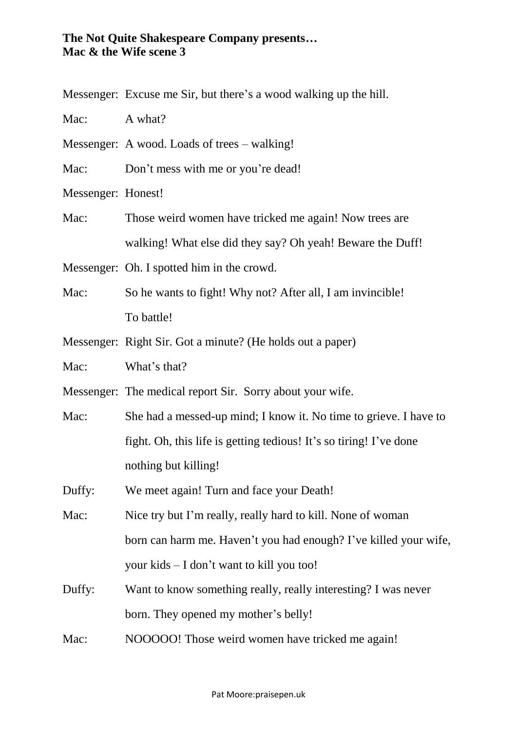## **The Not Quite Shakespeare Company presents… Mac & the Wife scene 3**

Messenger: Excuse me Sir, but there's a wood walking up the hill.

Mac: A what?

Messenger: A wood. Loads of trees – walking!

Mac: Don't mess with me or you're dead!

Messenger: Honest!

Mac: Those weird women have tricked me again! Now trees are walking! What else did they say? Oh yeah! Beware the Duff!

Messenger: Oh. I spotted him in the crowd.

- Mac: So he wants to fight! Why not? After all, I am invincible! To battle!
- Messenger: Right Sir. Got a minute? (He holds out a paper)
- Mac: What's that?

Messenger: The medical report Sir. Sorry about your wife.

- Mac: She had a messed-up mind; I know it. No time to grieve. I have to fight. Oh, this life is getting tedious! It's so tiring! I've done nothing but killing!
- Duffy: We meet again! Turn and face your Death!
- Mac: Nice try but I'm really, really hard to kill. None of woman born can harm me. Haven't you had enough? I've killed your wife, your kids – I don't want to kill you too!
- Duffy: Want to know something really, really interesting? I was never born. They opened my mother's belly!
- Mac: NOOOOO! Those weird women have tricked me again!